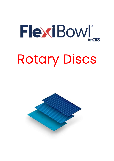# FlexiBow Rotary Discs

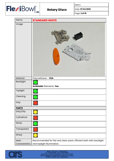

Specs

Date: **07.04.2022**

Page: **2 of 18**

| Name                   | <b>STANDARD WHITE</b>                                                                             |
|------------------------|---------------------------------------------------------------------------------------------------|
| Image                  |                                                                                                   |
| Material               | Polyurethane - FDA                                                                                |
| <b>Backlight</b>       | <b>Antistatic filaments: Yes</b>                                                                  |
| Toplight               |                                                                                                   |
| Cleaning               |                                                                                                   |
| Grip                   |                                                                                                   |
| <b>PARTS</b>           |                                                                                                   |
| Dirty/Oily             |                                                                                                   |
| Cylindrical            |                                                                                                   |
| Sticky                 |                                                                                                   |
| Transparent            |                                                                                                   |
| Sharp                  |                                                                                                   |
| Main<br>Caracteristics | Recommended for flat and clean parts. Efficient both with backlight<br>and toplight illumination. |

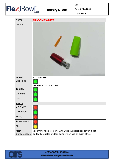

Specs

Date: **07.04.2022**

Page: **3 of 18**

| Name             | <b>SILICONE WHITE</b>                                     |
|------------------|-----------------------------------------------------------|
| Image            |                                                           |
| Material         | Silicone - FDA                                            |
| <b>Backlight</b> | <b>Antistatic filaments: Yes</b>                          |
| Toplight         |                                                           |
| Cleaning         |                                                           |
| Grip             |                                                           |
| <u>PARTS</u>     |                                                           |
| Dirty/Oily       |                                                           |
| Cylindrical      |                                                           |
| Sticky           |                                                           |
| Transparent      |                                                           |
| Sharp            |                                                           |
| Main             | Recommended for parts with wide support base (even if not |
| Caracteristics   | perfectly stable) and for parts which slip on each other. |

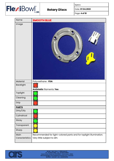

Specs

Date: **07.04.2022**

Page: **4 of 18**

| Name             | <b>SMOOTH BLUE</b>                                                 |
|------------------|--------------------------------------------------------------------|
| Image            |                                                                    |
| Material         | Polyurethane - FDA                                                 |
| <b>Backlight</b> | <b>Antistatic filaments: Yes</b>                                   |
| Toplight         |                                                                    |
| Cleaning         |                                                                    |
| Grip             |                                                                    |
| <b>PARTS</b>     |                                                                    |
| Dirty/Oily       |                                                                    |
| Cylindrical      |                                                                    |
| Sticky           |                                                                    |
| Transparent      |                                                                    |
| Sharp            |                                                                    |
| Main             | Recommended for light-colored parts and for toplight illumination. |
| Caracteristics   | Very little subject to dirt.                                       |

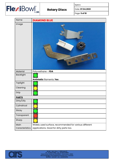

Specs

Date: **07.04.2022**

Page: **5 of 18**

| <b>Name</b>      | <b>DIAMOND BLUE</b>                                    |
|------------------|--------------------------------------------------------|
| Image            | tive the remain                                        |
| Material         | Polyurethane - FDA                                     |
| <b>Backlight</b> | <b>Antistatic filaments: Yes</b>                       |
| Toplight         |                                                        |
| Cleaning         |                                                        |
| Grip             |                                                        |
| <b>PARTS</b>     |                                                        |
| Dirty/Oily       |                                                        |
| Cylindrical      |                                                        |
| Sticky           |                                                        |
| Transparent      |                                                        |
| Sharp            |                                                        |
| Main             | Widely used surface, recommended for various different |
| Caracteristics   | applications. Good for dirty parts too.                |

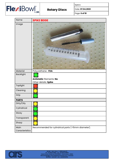

Specs

Date: **07.04.2022**

Page: **6 of 18**

| Name             | <b>SPIKE BEIGE</b>                                             |
|------------------|----------------------------------------------------------------|
| Image            | 5 5 5 5 5 6 7 6<br><b>HARLING</b><br>쥾<br>æ<br><b>25</b><br>25 |
| Material         | Polyurethane - FDA                                             |
| <b>Backlight</b> | Antistatic filaments: No<br>Other details: Spike               |
| Toplight         |                                                                |
| Cleaning         |                                                                |
| Grip             |                                                                |
| <b>PARTS</b>     |                                                                |
| Dirty/Oily       |                                                                |
| Cylindrical      |                                                                |
| Sticky           |                                                                |
| Transparent      |                                                                |
| Sharp            |                                                                |
| Main             | Recommended for cylindrical parts (>15mm diameter).            |
| Caracteristics   |                                                                |

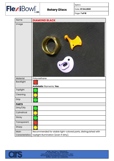

Specs

Date: **07.04.2022**

Page: **7 of 18**

| Name             | <b>DIAMOND BLACK</b>                                           |
|------------------|----------------------------------------------------------------|
| Image            |                                                                |
| Material         | Polyurethane                                                   |
| <b>Backlight</b> | <b>Antistatic filaments: Yes</b>                               |
| Toplight         |                                                                |
| Cleaning         |                                                                |
| Grip             |                                                                |
| <b>PARTS</b>     |                                                                |
| Dirty/Oily       |                                                                |
| Cylindrical      |                                                                |
| <b>Sticky</b>    |                                                                |
| Transparent      |                                                                |
| Sharp            |                                                                |
| Main             | Recommended for stable light-colored parts, distinguished with |
| Caracteristics   | toplight illumination (even if dirty).                         |

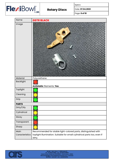

Specs

Date: **07.04.2022**

Page: **8 of 18**

| Name             | <b>GSTR BLACK</b>                                                        |
|------------------|--------------------------------------------------------------------------|
| Image            |                                                                          |
| Material         | Polyurethane                                                             |
| <b>Backlight</b> | <b>Antistatic filaments: Yes</b>                                         |
| Toplight         |                                                                          |
| Cleaning         |                                                                          |
| Grip             |                                                                          |
| <b>PARTS</b>     |                                                                          |
| Dirty/Oily       |                                                                          |
| Cylindrical      |                                                                          |
| <b>Sticky</b>    |                                                                          |
| Transparent      |                                                                          |
| Sharp            |                                                                          |
| Main             | Recommended for stable light-colored parts, distinguished with           |
| Caracteristics   | toplight illumination. Suitable for small cylindrical parts too, even if |
|                  | dirty.                                                                   |

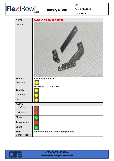

Specs

Date: **07.04.2022**

Page: **9 of 18**

| Name                   | <b>FABRIC TRANSPARENT</b>         |
|------------------------|-----------------------------------|
| Image                  |                                   |
| Material               | Polyurethane - FDA                |
| <b>Backlight</b>       | <b>Antistatic filaments: Yes</b>  |
| Toplight               |                                   |
| Cleaning               |                                   |
| Grip                   |                                   |
| <b>PARTS</b>           |                                   |
| Dirty/Oily             |                                   |
| Cylindrical            |                                   |
| Sticky                 |                                   |
| Transparent            |                                   |
| Sharp                  |                                   |
| Main<br>Caracteristics | Recommended for sharp components. |

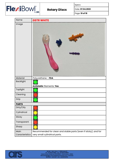

Specs

Date: **07.04.2022**

Page: **10 of 18**



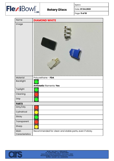

Specs

Date: **07.04.2022**

Page: **11 of 18**

| Name                   | <b>DIAMOND WHITE</b>                                    |
|------------------------|---------------------------------------------------------|
| Image                  |                                                         |
| Material               | Polyurethane - FDA                                      |
| <b>Backlight</b>       | <b>Antistatic filaments: Yes</b>                        |
| Toplight               |                                                         |
| Cleaning               |                                                         |
| Grip                   |                                                         |
| <b>PARTS</b>           |                                                         |
| Dirty/Oily             |                                                         |
| Cylindrical            |                                                         |
| Sticky                 |                                                         |
| Transparent            |                                                         |
| Sharp                  |                                                         |
| Main<br>Caracteristics | Recommended for clean and stable parts, even if sticky. |

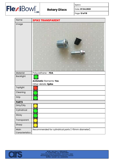

Specs

Date: **07.04.2022**

Page: **12 of 18**

| Name                   | <b>SPIKE TRANSPARENT</b>                                 |
|------------------------|----------------------------------------------------------|
| Image                  |                                                          |
| Material               | Polyurethane - FDA                                       |
| <b>Backlight</b>       | <b>Antistatic filaments: Yes</b><br>Other details: Spike |
| Toplight               |                                                          |
| Cleaning               |                                                          |
| Grip                   |                                                          |
| <b>PARTS</b>           |                                                          |
| Dirty/Oily             |                                                          |
| Cylindrical            |                                                          |
| Sticky                 |                                                          |
| Transparent            |                                                          |
| Sharp                  |                                                          |
| Main<br>Caracteristics | Recommended for cylindrical parts (<15mm diameter).      |

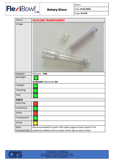

Specs

Date: **07.04.2022**

Page: **13 of 18**

| <b>Name</b>      | <b>SILICONE TRANSPARENT</b>                               |
|------------------|-----------------------------------------------------------|
| Image            |                                                           |
| Material         | Silicone - FDA                                            |
| <b>Backlight</b> | Antistatic filaments: No                                  |
| Toplight         |                                                           |
| Cleaning         |                                                           |
| Grip             |                                                           |
| <b>PARTS</b>     |                                                           |
| Dirty/Oily       |                                                           |
| Cylindrical      |                                                           |
| <b>Sticky</b>    |                                                           |
| Transparent      |                                                           |
| Sharp            |                                                           |
| Main             | Recommended for parts with wide support base (even if not |
| Caracteristics   | perfectly stable) and for parts which slip on each other. |

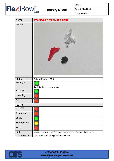

Specs

Date: **07.04.2022**

Page: **14 of 18**

| Name             | <b>STANDARD TRANSPARENT</b>                               |
|------------------|-----------------------------------------------------------|
| Image            |                                                           |
| Material         | Polyurethane - FDA                                        |
| <b>Backlight</b> | Antistatic filaments: No                                  |
| Toplight         |                                                           |
| Cleaning         |                                                           |
| Grip             |                                                           |
| <b>PARTS</b>     |                                                           |
| Dirty/Oily       |                                                           |
| Cylindrical      |                                                           |
| Sticky           |                                                           |
| Transparent      |                                                           |
| Sharp            |                                                           |
| Main             | Recommended for flat and clean parts. Efficient both with |
| Caracteristics   | backlight and toplight illumination.                      |

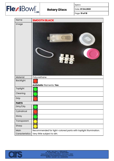

Specs

Date: **07.04.2022**

Page: **15 of 18**

| <b>Name</b>      | <b>SMOOTH BLACK</b>                                             |
|------------------|-----------------------------------------------------------------|
| Image            |                                                                 |
| Material         | Polyurethane                                                    |
| <b>Backlight</b> | <b>Antistatic filaments: Yes</b>                                |
| Toplight         |                                                                 |
| Cleaning         |                                                                 |
| Grip             |                                                                 |
| <b>PARTS</b>     |                                                                 |
| Dirty/Oily       |                                                                 |
| Cylindrical      |                                                                 |
| Sticky           |                                                                 |
| Transparent      |                                                                 |
| Sharp            |                                                                 |
| Main             | Recommended for light-colored parts with toplight illumination. |
| Caracteristics   | Very little subject to dirt.                                    |

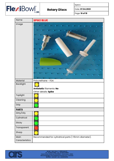

Specs

Date: **07.04.2022**

Page: **16 of 18**

| Name             | <b>SPIKE BLUE</b>                                   |
|------------------|-----------------------------------------------------|
| Image            |                                                     |
| Material         | Polyurethane - FDA                                  |
| <b>Backlight</b> | Antistatic filaments: No<br>Other details: Spike    |
| Toplight         |                                                     |
| Cleaning         |                                                     |
| Grip             |                                                     |
| <b>PARTS</b>     |                                                     |
| Dirty/Oily       |                                                     |
| Cylindrical      |                                                     |
| Sticky           |                                                     |
| Transparent      |                                                     |
| Sharp            |                                                     |
| Main             | Recommended for cylindrical parts (>15mm diameter). |
| Caracteristics   |                                                     |

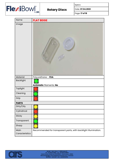

Specs

Date: **07.04.2022**

Page: **17 of 18**

| Name                   | <b>FLAT BEIGE</b>                                               |
|------------------------|-----------------------------------------------------------------|
| Image                  |                                                                 |
| Material               | Polyurethane - FDA                                              |
| <b>Backlight</b>       | Antistatic filaments: No                                        |
| Toplight               |                                                                 |
| Cleaning               |                                                                 |
| Grip                   |                                                                 |
| <b>PARTS</b>           |                                                                 |
| Dirty/Oily             |                                                                 |
| Cylindrical            |                                                                 |
| Sticky                 |                                                                 |
| Transparent            |                                                                 |
| Sharp                  |                                                                 |
| Main<br>Caracteristics | Recommended for transparent parts, with backlight illumination. |